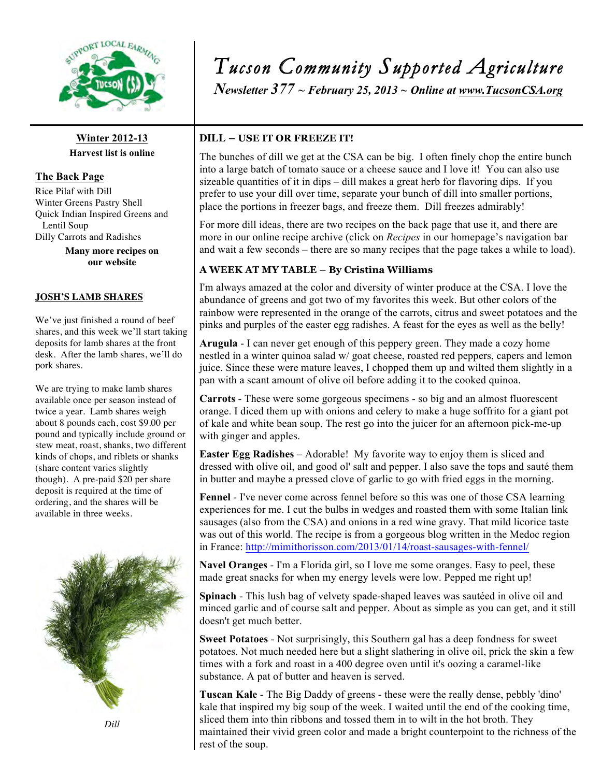

**Winter 2012-13 Harvest list is online**

**The Back Page** Rice Pilaf with Dill Winter Greens Pastry Shell Quick Indian Inspired Greens and Lentil Soup

Dilly Carrots and Radishes

**Many more recipes on our website** 

#### **JOSH'S LAMB SHARES**

We've just finished a round of beef shares, and this week we'll start taking deposits for lamb shares at the front desk. After the lamb shares, we'll do pork shares.

We are trying to make lamb shares available once per season instead of twice a year. Lamb shares weigh about 8 pounds each, cost \$9.00 per pound and typically include ground or stew meat, roast, shanks, two different kinds of chops, and riblets or shanks (share content varies slightly though). A pre-paid \$20 per share deposit is required at the time of ordering, and the shares will be available in three weeks.



*Dill*

# *Tucson Community Supported Agriculture*

*Newsletter 377 ~ February 25, 2013 ~ Online at www.TucsonCSA.org*

#### **DILL – USE IT OR FREEZE IT!**

The bunches of dill we get at the CSA can be big. I often finely chop the entire bunch into a large batch of tomato sauce or a cheese sauce and I love it! You can also use sizeable quantities of it in dips – dill makes a great herb for flavoring dips. If you prefer to use your dill over time, separate your bunch of dill into smaller portions, place the portions in freezer bags, and freeze them. Dill freezes admirably!

For more dill ideas, there are two recipes on the back page that use it, and there are more in our online recipe archive (click on *Recipes* in our homepage's navigation bar and wait a few seconds – there are so many recipes that the page takes a while to load).

## **A WEEK AT MY TABLE – By Cristina Williams**

I'm always amazed at the color and diversity of winter produce at the CSA. I love the abundance of greens and got two of my favorites this week. But other colors of the rainbow were represented in the orange of the carrots, citrus and sweet potatoes and the pinks and purples of the easter egg radishes. A feast for the eyes as well as the belly!

**Arugula** - I can never get enough of this peppery green. They made a cozy home nestled in a winter quinoa salad w/ goat cheese, roasted red peppers, capers and lemon juice. Since these were mature leaves, I chopped them up and wilted them slightly in a pan with a scant amount of olive oil before adding it to the cooked quinoa.

**Carrots** - These were some gorgeous specimens - so big and an almost fluorescent orange. I diced them up with onions and celery to make a huge soffrito for a giant pot of kale and white bean soup. The rest go into the juicer for an afternoon pick-me-up with ginger and apples.

**Easter Egg Radishes** – Adorable! My favorite way to enjoy them is sliced and dressed with olive oil, and good ol' salt and pepper. I also save the tops and sauté them in butter and maybe a pressed clove of garlic to go with fried eggs in the morning.

**Fennel** - I've never come across fennel before so this was one of those CSA learning experiences for me. I cut the bulbs in wedges and roasted them with some Italian link sausages (also from the CSA) and onions in a red wine gravy. That mild licorice taste was out of this world. The recipe is from a gorgeous blog written in the Medoc region in France: http://mimithorisson.com/2013/01/14/roast-sausages-with-fennel/

**Navel Oranges** - I'm a Florida girl, so I love me some oranges. Easy to peel, these made great snacks for when my energy levels were low. Pepped me right up!

**Spinach** - This lush bag of velvety spade-shaped leaves was sautéed in olive oil and minced garlic and of course salt and pepper. About as simple as you can get, and it still doesn't get much better.

**Sweet Potatoes** - Not surprisingly, this Southern gal has a deep fondness for sweet potatoes. Not much needed here but a slight slathering in olive oil, prick the skin a few times with a fork and roast in a 400 degree oven until it's oozing a caramel-like substance. A pat of butter and heaven is served.

**Tuscan Kale** - The Big Daddy of greens - these were the really dense, pebbly 'dino' kale that inspired my big soup of the week. I waited until the end of the cooking time, sliced them into thin ribbons and tossed them in to wilt in the hot broth. They maintained their vivid green color and made a bright counterpoint to the richness of the rest of the soup.